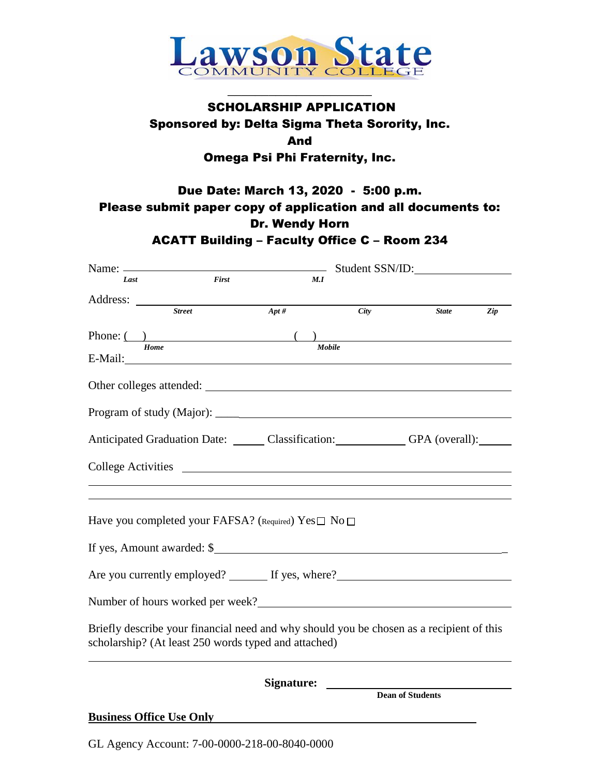

\_\_\_\_\_\_\_\_\_\_\_\_\_\_\_\_\_\_\_\_\_

## SCHOLARSHIP APPLICATION Sponsored by: Delta Sigma Theta Sorority, Inc. And Omega Psi Phi Fraternity, Inc.

# Due Date: March 13, 2020 - 5:00 p.m. Please submit paper copy of application and all documents to: Dr. Wendy Horn

ACATT Building – Faculty Office C – Room 234 Name:  $S<sub>trdant</sub>$  SSN/ID:

| Name:                                                                                                                                                                                                                          |               |                                                       |            | $SU(10)$ $SU(11)$ . |     |
|--------------------------------------------------------------------------------------------------------------------------------------------------------------------------------------------------------------------------------|---------------|-------------------------------------------------------|------------|---------------------|-----|
| Last                                                                                                                                                                                                                           | First         |                                                       | M.I        |                     |     |
|                                                                                                                                                                                                                                |               |                                                       |            |                     |     |
|                                                                                                                                                                                                                                | <b>Street</b> | $Apt\#$                                               | City       | <b>State</b>        | Zip |
|                                                                                                                                                                                                                                |               |                                                       |            |                     |     |
|                                                                                                                                                                                                                                |               | Phone: $\overbrace{\qquad \qquad \text{Home}}$ Mobile |            |                     |     |
| E-Mail: 2008 Contract Contract Contract Contract Contract Contract Contract Contract Contract Contract Contract Contract Contract Contract Contract Contract Contract Contract Contract Contract Contract Contract Contract Co |               |                                                       |            |                     |     |
|                                                                                                                                                                                                                                |               |                                                       |            |                     |     |
|                                                                                                                                                                                                                                |               |                                                       |            |                     |     |
|                                                                                                                                                                                                                                |               |                                                       |            |                     |     |
| Anticipated Graduation Date: Classification: GPA (overall): ______                                                                                                                                                             |               |                                                       |            |                     |     |
|                                                                                                                                                                                                                                |               |                                                       |            |                     |     |
|                                                                                                                                                                                                                                |               |                                                       |            |                     |     |
|                                                                                                                                                                                                                                |               |                                                       |            |                     |     |
|                                                                                                                                                                                                                                |               |                                                       |            |                     |     |
| Have you completed your FAFSA? (Required) Yes□ No □                                                                                                                                                                            |               |                                                       |            |                     |     |
|                                                                                                                                                                                                                                |               |                                                       |            |                     |     |
| If yes, Amount awarded: \$                                                                                                                                                                                                     |               |                                                       |            |                     |     |
| Are you currently employed? ________ If yes, where? _____________________________                                                                                                                                              |               |                                                       |            |                     |     |
|                                                                                                                                                                                                                                |               |                                                       |            |                     |     |
| Number of hours worked per week?<br><u>Letter and the contract of hours worked per week?</u>                                                                                                                                   |               |                                                       |            |                     |     |
|                                                                                                                                                                                                                                |               |                                                       |            |                     |     |
| Briefly describe your financial need and why should you be chosen as a recipient of this<br>scholarship? (At least 250 words typed and attached)                                                                               |               |                                                       |            |                     |     |
|                                                                                                                                                                                                                                |               |                                                       |            |                     |     |
|                                                                                                                                                                                                                                |               |                                                       |            |                     |     |
|                                                                                                                                                                                                                                |               |                                                       | Signature: |                     |     |
|                                                                                                                                                                                                                                |               |                                                       |            | Dean of Students    |     |
| <b>Business Office Use Only</b>                                                                                                                                                                                                |               |                                                       |            |                     |     |
|                                                                                                                                                                                                                                |               |                                                       |            |                     |     |

GL Agency Account: 7-00-0000-218-00-8040-0000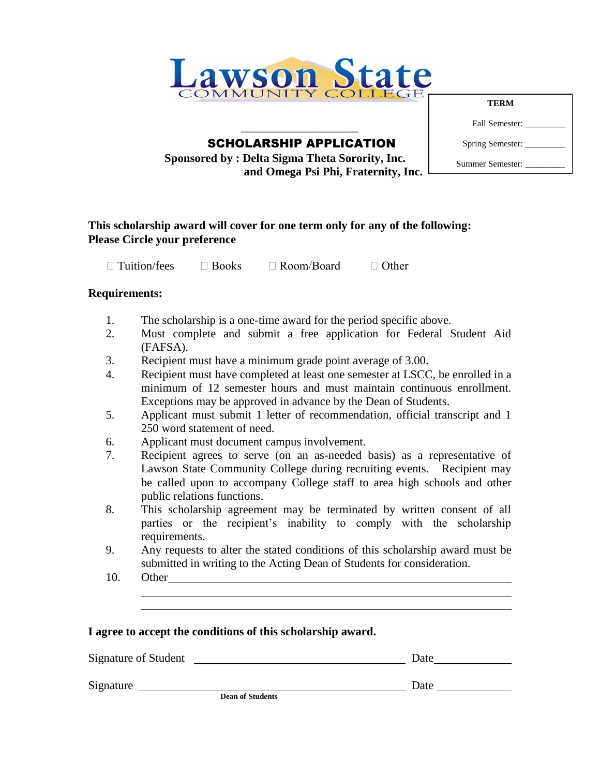

 $\overline{\phantom{a}}$  , where  $\overline{\phantom{a}}$ SCHOLARSHIP APPLICATION

 **Sponsored by : Delta Sigma Theta Sorority, Inc. and Omega Psi Phi, Fraternity, Inc.**

**TERM** Fall Semester: Spring Semester: \_\_\_\_\_\_\_\_\_ Summer Semester: \_\_\_\_\_\_\_\_\_

#### **This scholarship award will cover for one term only for any of the following: Please Circle your preference**

 $\Box$  Tuition/fees  $\Box$  Books  $\Box$  Room/Board  $\Box$  Other

#### **Requirements:**

- 1. The scholarship is a one-time award for the period specific above.
- 2. Must complete and submit a free application for Federal Student Aid (FAFSA).
- 3. Recipient must have a minimum grade point average of 3.00.
- 4. Recipient must have completed at least one semester at LSCC, be enrolled in a minimum of 12 semester hours and must maintain continuous enrollment. Exceptions may be approved in advance by the Dean of Students.
- 5. Applicant must submit 1 letter of recommendation, official transcript and 1 250 word statement of need.
- 6. Applicant must document campus involvement.
- 7. Recipient agrees to serve (on an as-needed basis) as a representative of Lawson State Community College during recruiting events. Recipient may be called upon to accompany College staff to area high schools and other public relations functions.
- 8. This scholarship agreement may be terminated by written consent of all parties or the recipient's inability to comply with the scholarship requirements.
- 9. Any requests to alter the stated conditions of this scholarship award must be submitted in writing to the Acting Dean of Students for consideration.
- 10. Other

| I agree to accept the conditions of this scholarship award. |
|-------------------------------------------------------------|
|-------------------------------------------------------------|

| Signature of Student |                         | Date |  |
|----------------------|-------------------------|------|--|
| Signature            | <b>Dean of Students</b> | Date |  |